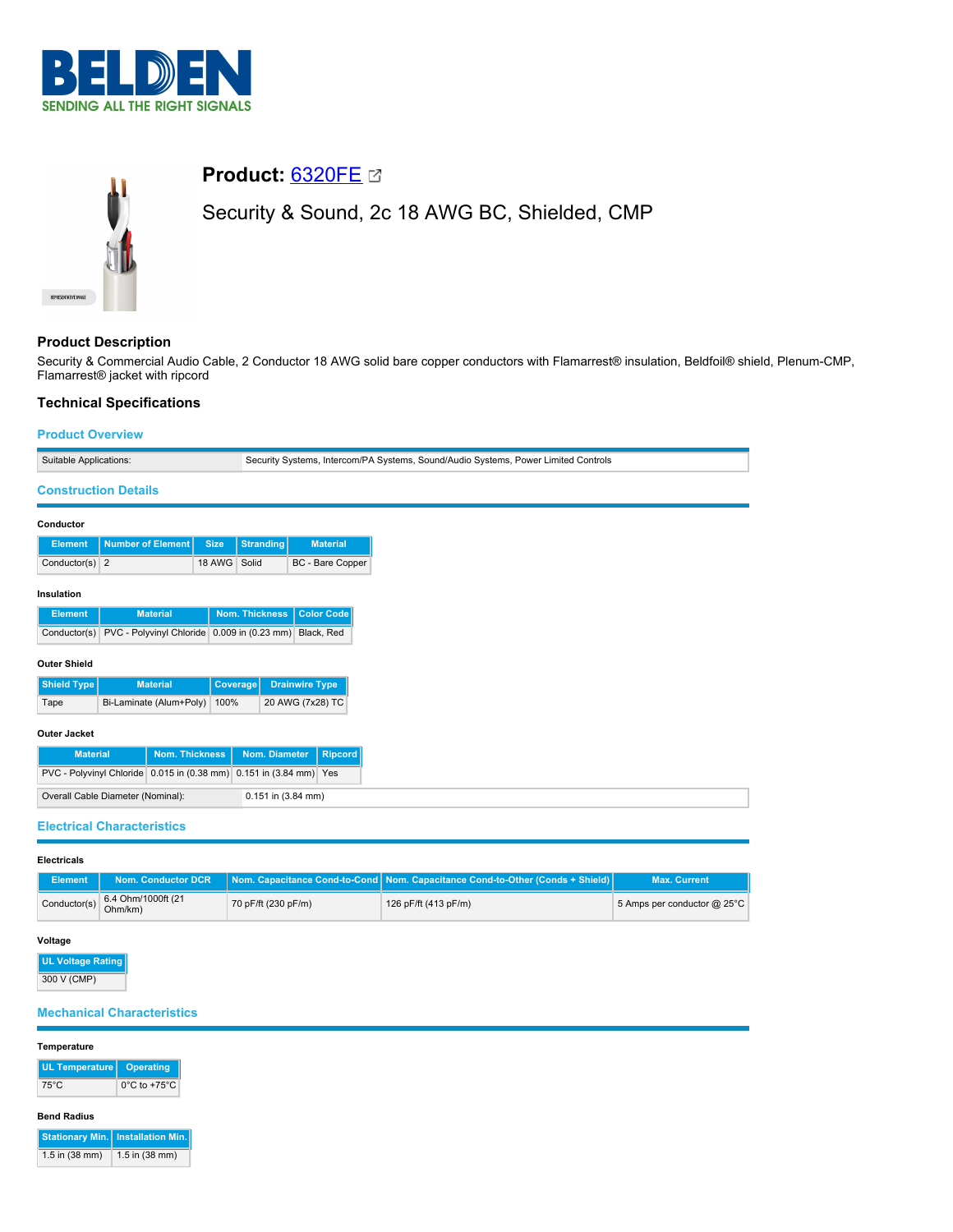



# **Product:** [6320FE](https://catalog.belden.com/index.cfm?event=pd&p=PF_6320FE&tab=downloads)

Security & Sound, 2c 18 AWG BC, Shielded, CMP

# **Product Description**

Security & Commercial Audio Cable, 2 Conductor 18 AWG solid bare copper conductors with Flamarrest® insulation, Beldfoil® shield, Plenum-CMP, Flamarrest® jacket with ripcord

# **Technical Specifications**

# **Product Overview**

| Suitable Applications: |                                                                    |                 | Security Systems, Intercom/PA Systems, Sound/Audio Systems, Power Limited Controls |                         |
|------------------------|--------------------------------------------------------------------|-----------------|------------------------------------------------------------------------------------|-------------------------|
|                        | <b>Construction Details</b>                                        |                 |                                                                                    |                         |
| Conductor              |                                                                    |                 |                                                                                    |                         |
|                        |                                                                    |                 |                                                                                    |                         |
| <b>Element</b>         | <b>Number of Element</b>                                           | <b>Size</b>     | <b>Stranding</b>                                                                   | <b>Material</b>         |
| Conductor(s) $2$       |                                                                    | 18 AWG          | Solid                                                                              | <b>BC</b> - Bare Copper |
| Insulation             |                                                                    |                 |                                                                                    |                         |
| <b>Element</b>         | <b>Material</b>                                                    |                 | <b>Nom. Thickness</b>                                                              | Color Code              |
| Conductor(s)           | PVC - Polyvinyl Chloride 0.009 in (0.23 mm) Black, Red             |                 |                                                                                    |                         |
| <b>Outer Shield</b>    |                                                                    |                 |                                                                                    |                         |
| <b>Shield Type</b>     | <b>Material</b>                                                    | <b>Coverage</b> |                                                                                    | <b>Drainwire Type</b>   |
| Tape                   | Bi-Laminate (Alum+Poly)                                            | 100%            |                                                                                    | 20 AWG (7x28) TC        |
| <b>Outer Jacket</b>    |                                                                    |                 |                                                                                    |                         |
| <b>Material</b>        | <b>Nom. Thickness</b>                                              |                 | Nom. Diameter                                                                      | <b>Ripcord</b>          |
|                        | PVC - Polyvinyl Chloride 0.015 in (0.38 mm) 0.151 in (3.84 mm) Yes |                 |                                                                                    |                         |
|                        | Overall Cable Diameter (Nominal):                                  |                 | 0.151 in (3.84 mm)                                                                 |                         |

| <b>Electricals</b> |
|--------------------|
|                    |

| Element | Nom. Conductor DCR                                                               |                     | Nom. Capacitance Cond-to-Cond   Nom. Capacitance Cond-to-Other (Conds + Shield) | <b>Max. Current</b>         |
|---------|----------------------------------------------------------------------------------|---------------------|---------------------------------------------------------------------------------|-----------------------------|
|         | Conductor(s) $\begin{array}{ c c }\n 6.4 Ohm/1000 \, \text{ft}\n\end{array}$ (21 | 70 pF/ft (230 pF/m) | 126 pF/ft (413 pF/m)                                                            | 5 Amps per conductor @ 25°C |

### **Voltage**

**UL Voltage Rating** 300 V (CMP)

# **Mechanical Characteristics**

### **Temperature**

| UL Temperature   Operating |                                   |
|----------------------------|-----------------------------------|
| 75°C                       | $0^{\circ}$ C to +75 $^{\circ}$ C |

#### **Bend Radius**

|                  | <b>Stationary Min.</b> Installation Min. |
|------------------|------------------------------------------|
| $1.5$ in (38 mm) | 1.5 in $(38 \text{ mm})$                 |